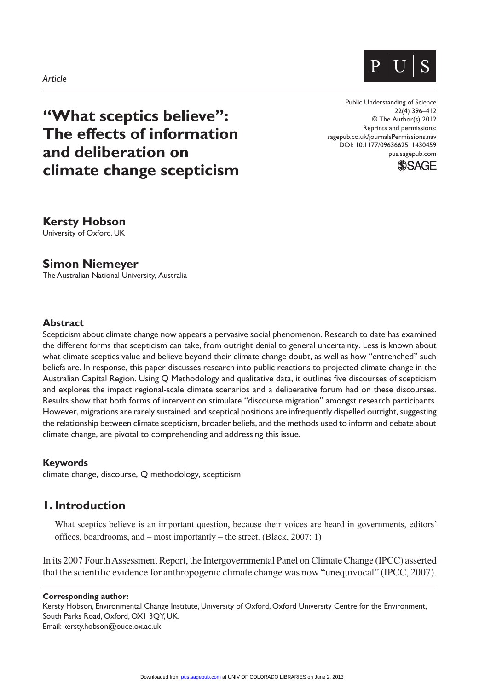



# **"What sceptics believe": The effects of information and deliberation on climate change scepticism**

Public Understanding of Science 22(4) 396–412 © The Author(s) 2012 Reprints and permissions: sagepub.co.uk/journalsPermissions.nav DOI: 10.1177/0963662511430459 pus.sagepub.com



## **Kersty Hobson**

University of Oxford, UK

**Simon Niemeyer**

The Australian National University, Australia

#### **Abstract**

Scepticism about climate change now appears a pervasive social phenomenon. Research to date has examined the different forms that scepticism can take, from outright denial to general uncertainty. Less is known about what climate sceptics value and believe beyond their climate change doubt, as well as how "entrenched" such beliefs are. In response, this paper discusses research into public reactions to projected climate change in the Australian Capital Region. Using Q Methodology and qualitative data, it outlines five discourses of scepticism and explores the impact regional-scale climate scenarios and a deliberative forum had on these discourses. Results show that both forms of intervention stimulate "discourse migration" amongst research participants. However, migrations are rarely sustained, and sceptical positions are infrequently dispelled outright, suggesting the relationship between climate scepticism, broader beliefs, and the methods used to inform and debate about climate change, are pivotal to comprehending and addressing this issue.

#### **Keywords**

climate change, discourse, Q methodology, scepticism

## **1. Introduction**

What sceptics believe is an important question, because their voices are heard in governments, editors' offices, boardrooms, and – most importantly – the street. (Black, 2007: 1)

In its 2007 Fourth Assessment Report, the Intergovernmental Panel on Climate Change (IPCC) asserted that the scientific evidence for anthropogenic climate change was now "unequivocal" (IPCC, 2007).

#### **Corresponding author:**

Kersty Hobson, Environmental Change Institute, University of Oxford, Oxford University Centre for the Environment, South Parks Road, Oxford, OX1 3QY, UK. Email: kersty.hobson@ouce.ox.ac.uk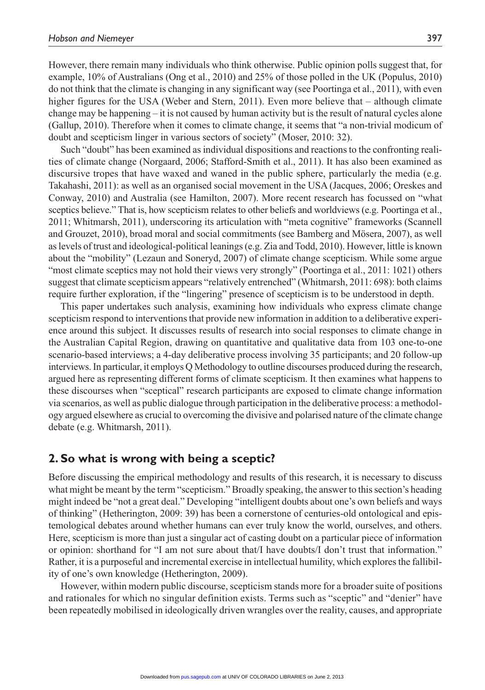However, there remain many individuals who think otherwise. Public opinion polls suggest that, for example, 10% of Australians (Ong et al., 2010) and 25% of those polled in the UK (Populus, 2010) do not think that the climate is changing in any significant way (see Poortinga et al., 2011), with even higher figures for the USA (Weber and Stern, 2011). Even more believe that – although climate change may be happening – it is not caused by human activity but is the result of natural cycles alone (Gallup, 2010). Therefore when it comes to climate change, it seems that "a non-trivial modicum of doubt and scepticism linger in various sectors of society" (Moser, 2010: 32).

Such "doubt" has been examined as individual dispositions and reactions to the confronting realities of climate change (Norgaard, 2006; Stafford-Smith et al., 2011). It has also been examined as discursive tropes that have waxed and waned in the public sphere, particularly the media (e.g. Takahashi, 2011): as well as an organised social movement in the USA (Jacques, 2006; Oreskes and Conway, 2010) and Australia (see Hamilton, 2007). More recent research has focussed on "what sceptics believe." That is, how scepticism relates to other beliefs and worldviews (e.g. Poortinga et al., 2011; Whitmarsh, 2011), underscoring its articulation with "meta cognitive" frameworks (Scannell and Grouzet, 2010), broad moral and social commitments (see Bamberg and Mösera, 2007), as well as levels of trust and ideological-political leanings (e.g. Zia and Todd, 2010). However, little is known about the "mobility" (Lezaun and Soneryd, 2007) of climate change scepticism. While some argue "most climate sceptics may not hold their views very strongly" (Poortinga et al., 2011: 1021) others suggest that climate scepticism appears "relatively entrenched" (Whitmarsh, 2011: 698): both claims require further exploration, if the "lingering" presence of scepticism is to be understood in depth.

This paper undertakes such analysis, examining how individuals who express climate change scepticism respond to interventions that provide new information in addition to a deliberative experience around this subject. It discusses results of research into social responses to climate change in the Australian Capital Region, drawing on quantitative and qualitative data from 103 one-to-one scenario-based interviews; a 4-day deliberative process involving 35 participants; and 20 follow-up interviews. In particular, it employs Q Methodology to outline discourses produced during the research, argued here as representing different forms of climate scepticism. It then examines what happens to these discourses when "sceptical" research participants are exposed to climate change information via scenarios, as well as public dialogue through participation in the deliberative process: a methodology argued elsewhere as crucial to overcoming the divisive and polarised nature of the climate change debate (e.g. Whitmarsh, 2011).

## **2. So what is wrong with being a sceptic?**

Before discussing the empirical methodology and results of this research, it is necessary to discuss what might be meant by the term "scepticism." Broadly speaking, the answer to this section's heading might indeed be "not a great deal." Developing "intelligent doubts about one's own beliefs and ways of thinking" (Hetherington, 2009: 39) has been a cornerstone of centuries-old ontological and epistemological debates around whether humans can ever truly know the world, ourselves, and others. Here, scepticism is more than just a singular act of casting doubt on a particular piece of information or opinion: shorthand for "I am not sure about that/I have doubts/I don't trust that information." Rather, it is a purposeful and incremental exercise in intellectual humility, which explores the fallibility of one's own knowledge (Hetherington, 2009).

However, within modern public discourse, scepticism stands more for a broader suite of positions and rationales for which no singular definition exists. Terms such as "sceptic" and "denier" have been repeatedly mobilised in ideologically driven wrangles over the reality, causes, and appropriate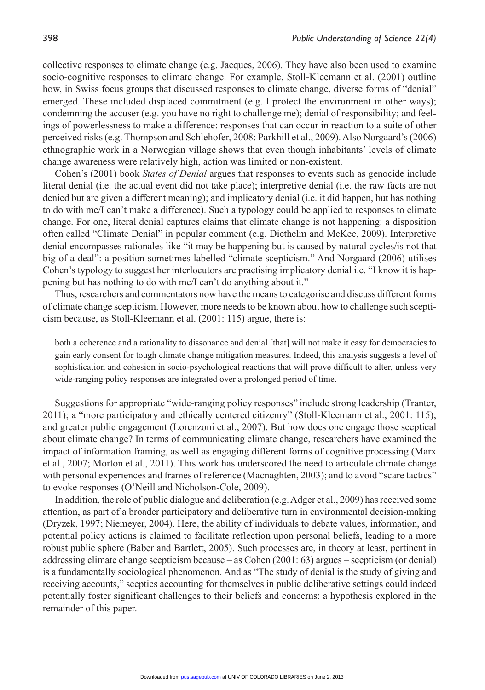collective responses to climate change (e.g. Jacques, 2006). They have also been used to examine socio-cognitive responses to climate change. For example, Stoll-Kleemann et al. (2001) outline how, in Swiss focus groups that discussed responses to climate change, diverse forms of "denial" emerged. These included displaced commitment (e.g. I protect the environment in other ways); condemning the accuser (e.g. you have no right to challenge me); denial of responsibility; and feelings of powerlessness to make a difference: responses that can occur in reaction to a suite of other perceived risks (e.g. Thompson and Schlehofer, 2008: Parkhill et al., 2009). Also Norgaard's (2006) ethnographic work in a Norwegian village shows that even though inhabitants' levels of climate change awareness were relatively high, action was limited or non-existent.

Cohen's (2001) book *States of Denial* argues that responses to events such as genocide include literal denial (i.e. the actual event did not take place); interpretive denial (i.e. the raw facts are not denied but are given a different meaning); and implicatory denial (i.e. it did happen, but has nothing to do with me/I can't make a difference). Such a typology could be applied to responses to climate change. For one, literal denial captures claims that climate change is not happening: a disposition often called "Climate Denial" in popular comment (e.g. Diethelm and McKee, 2009). Interpretive denial encompasses rationales like "it may be happening but is caused by natural cycles/is not that big of a deal": a position sometimes labelled "climate scepticism." And Norgaard (2006) utilises Cohen's typology to suggest her interlocutors are practising implicatory denial i.e. "I know it is happening but has nothing to do with me/I can't do anything about it."

Thus, researchers and commentators now have the means to categorise and discuss different forms of climate change scepticism. However, more needs to be known about how to challenge such scepticism because, as Stoll-Kleemann et al. (2001: 115) argue, there is:

both a coherence and a rationality to dissonance and denial [that] will not make it easy for democracies to gain early consent for tough climate change mitigation measures. Indeed, this analysis suggests a level of sophistication and cohesion in socio-psychological reactions that will prove difficult to alter, unless very wide-ranging policy responses are integrated over a prolonged period of time.

Suggestions for appropriate "wide-ranging policy responses" include strong leadership (Tranter, 2011); a "more participatory and ethically centered citizenry" (Stoll-Kleemann et al., 2001: 115); and greater public engagement (Lorenzoni et al., 2007). But how does one engage those sceptical about climate change? In terms of communicating climate change, researchers have examined the impact of information framing, as well as engaging different forms of cognitive processing (Marx et al., 2007; Morton et al., 2011). This work has underscored the need to articulate climate change with personal experiences and frames of reference (Macnaghten, 2003); and to avoid "scare tactics" to evoke responses (O'Neill and Nicholson-Cole, 2009).

In addition, the role of public dialogue and deliberation (e.g. Adger et al., 2009) has received some attention, as part of a broader participatory and deliberative turn in environmental decision-making (Dryzek, 1997; Niemeyer, 2004). Here, the ability of individuals to debate values, information, and potential policy actions is claimed to facilitate reflection upon personal beliefs, leading to a more robust public sphere (Baber and Bartlett, 2005). Such processes are, in theory at least, pertinent in addressing climate change scepticism because – as Cohen (2001: 63) argues – scepticism (or denial) is a fundamentally sociological phenomenon. And as "The study of denial is the study of giving and receiving accounts," sceptics accounting for themselves in public deliberative settings could indeed potentially foster significant challenges to their beliefs and concerns: a hypothesis explored in the remainder of this paper.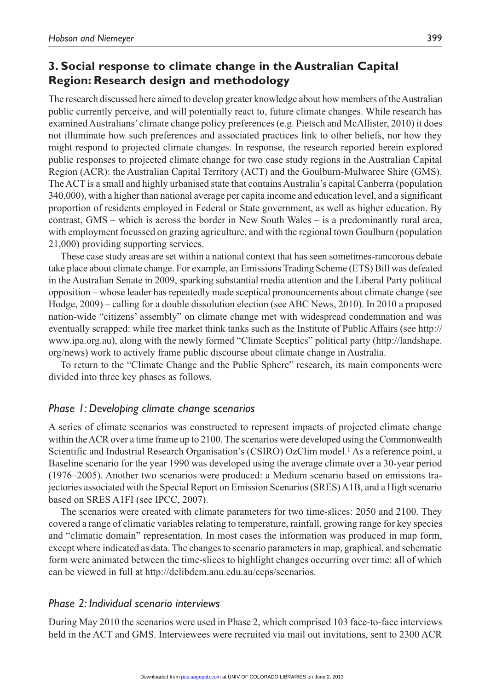# **3. Social response to climate change in the Australian Capital Region: Research design and methodology**

The research discussed here aimed to develop greater knowledge about how members of the Australian public currently perceive, and will potentially react to, future climate changes. While research has examined Australians' climate change policy preferences (e.g. Pietsch and McAllister, 2010) it does not illuminate how such preferences and associated practices link to other beliefs, nor how they might respond to projected climate changes. In response, the research reported herein explored public responses to projected climate change for two case study regions in the Australian Capital Region (ACR): the Australian Capital Territory (ACT) and the Goulburn-Mulwaree Shire (GMS). The ACT is a small and highly urbanised state that contains Australia's capital Canberra (population 340,000), with a higher than national average per capita income and education level, and a significant proportion of residents employed in Federal or State government, as well as higher education. By contrast, GMS – which is across the border in New South Wales – is a predominantly rural area, with employment focussed on grazing agriculture, and with the regional town Goulburn (population 21,000) providing supporting services.

These case study areas are set within a national context that has seen sometimes-rancorous debate take place about climate change. For example, an Emissions Trading Scheme (ETS) Bill was defeated in the Australian Senate in 2009, sparking substantial media attention and the Liberal Party political opposition – whose leader has repeatedly made sceptical pronouncements about climate change (see Hodge, 2009) – calling for a double dissolution election (see ABC News, 2010). In 2010 a proposed nation-wide "citizens' assembly" on climate change met with widespread condemnation and was eventually scrapped: while free market think tanks such as the Institute of Public Affairs (see http:// www.ipa.org.au), along with the newly formed "Climate Sceptics" political party (http://landshape. org/news) work to actively frame public discourse about climate change in Australia.

To return to the "Climate Change and the Public Sphere" research, its main components were divided into three key phases as follows.

## *Phase 1: Developing climate change scenarios*

A series of climate scenarios was constructed to represent impacts of projected climate change within the ACR over a time frame up to 2100. The scenarios were developed using the Commonwealth Scientific and Industrial Research Organisation's (CSIRO) OzClim model.<sup>1</sup> As a reference point, a Baseline scenario for the year 1990 was developed using the average climate over a 30-year period (1976–2005). Another two scenarios were produced: a Medium scenario based on emissions trajectories associated with the Special Report on Emission Scenarios (SRES) A1B, and a High scenario based on SRES A1FI (see IPCC, 2007).

The scenarios were created with climate parameters for two time-slices: 2050 and 2100. They covered a range of climatic variables relating to temperature, rainfall, growing range for key species and "climatic domain" representation. In most cases the information was produced in map form, except where indicated as data. The changes to scenario parameters in map, graphical, and schematic form were animated between the time-slices to highlight changes occurring over time: all of which can be viewed in full at http://delibdem.anu.edu.au/ccps/scenarios.

#### *Phase 2: Individual scenario interviews*

During May 2010 the scenarios were used in Phase 2, which comprised 103 face-to-face interviews held in the ACT and GMS. Interviewees were recruited via mail out invitations, sent to 2300 ACR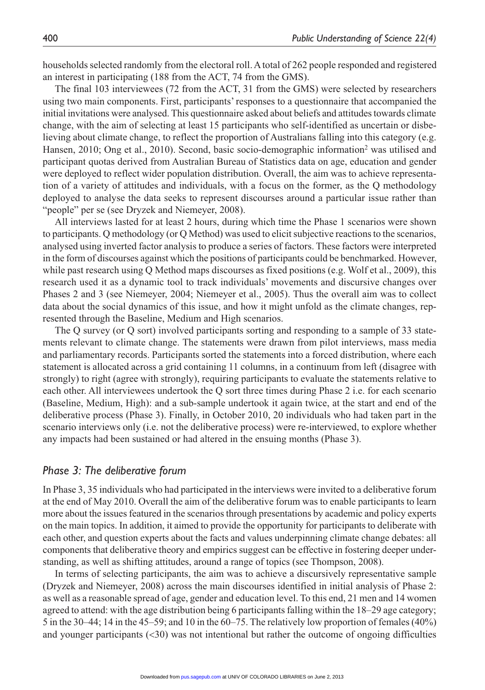households selected randomly from the electoral roll. A total of 262 people responded and registered an interest in participating (188 from the ACT, 74 from the GMS).

The final 103 interviewees (72 from the ACT, 31 from the GMS) were selected by researchers using two main components. First, participants' responses to a questionnaire that accompanied the initial invitations were analysed. This questionnaire asked about beliefs and attitudes towards climate change, with the aim of selecting at least 15 participants who self-identified as uncertain or disbelieving about climate change, to reflect the proportion of Australians falling into this category (e.g. Hansen, 2010; Ong et al., 2010). Second, basic socio-demographic information<sup>2</sup> was utilised and participant quotas derived from Australian Bureau of Statistics data on age, education and gender were deployed to reflect wider population distribution. Overall, the aim was to achieve representation of a variety of attitudes and individuals, with a focus on the former, as the Q methodology deployed to analyse the data seeks to represent discourses around a particular issue rather than "people" per se (see Dryzek and Niemeyer, 2008).

All interviews lasted for at least 2 hours, during which time the Phase 1 scenarios were shown to participants. Q methodology (or Q Method) was used to elicit subjective reactions to the scenarios, analysed using inverted factor analysis to produce a series of factors. These factors were interpreted in the form of discourses against which the positions of participants could be benchmarked. However, while past research using Q Method maps discourses as fixed positions (e.g. Wolf et al., 2009), this research used it as a dynamic tool to track individuals' movements and discursive changes over Phases 2 and 3 (see Niemeyer, 2004; Niemeyer et al., 2005). Thus the overall aim was to collect data about the social dynamics of this issue, and how it might unfold as the climate changes, represented through the Baseline, Medium and High scenarios.

The Q survey (or Q sort) involved participants sorting and responding to a sample of 33 statements relevant to climate change. The statements were drawn from pilot interviews, mass media and parliamentary records. Participants sorted the statements into a forced distribution, where each statement is allocated across a grid containing 11 columns, in a continuum from left (disagree with strongly) to right (agree with strongly), requiring participants to evaluate the statements relative to each other. All interviewees undertook the Q sort three times during Phase 2 i.e. for each scenario (Baseline, Medium, High): and a sub-sample undertook it again twice, at the start and end of the deliberative process (Phase 3). Finally, in October 2010, 20 individuals who had taken part in the scenario interviews only (i.e. not the deliberative process) were re-interviewed, to explore whether any impacts had been sustained or had altered in the ensuing months (Phase 3).

#### *Phase 3: The deliberative forum*

In Phase 3, 35 individuals who had participated in the interviews were invited to a deliberative forum at the end of May 2010. Overall the aim of the deliberative forum was to enable participants to learn more about the issues featured in the scenarios through presentations by academic and policy experts on the main topics. In addition, it aimed to provide the opportunity for participants to deliberate with each other, and question experts about the facts and values underpinning climate change debates: all components that deliberative theory and empirics suggest can be effective in fostering deeper understanding, as well as shifting attitudes, around a range of topics (see Thompson, 2008).

In terms of selecting participants, the aim was to achieve a discursively representative sample (Dryzek and Niemeyer, 2008) across the main discourses identified in initial analysis of Phase 2: as well as a reasonable spread of age, gender and education level. To this end, 21 men and 14 women agreed to attend: with the age distribution being 6 participants falling within the 18–29 age category; 5 in the 30–44; 14 in the 45–59; and 10 in the 60–75. The relatively low proportion of females (40%) and younger participants  $( $30$ )$  was not intentional but rather the outcome of ongoing difficulties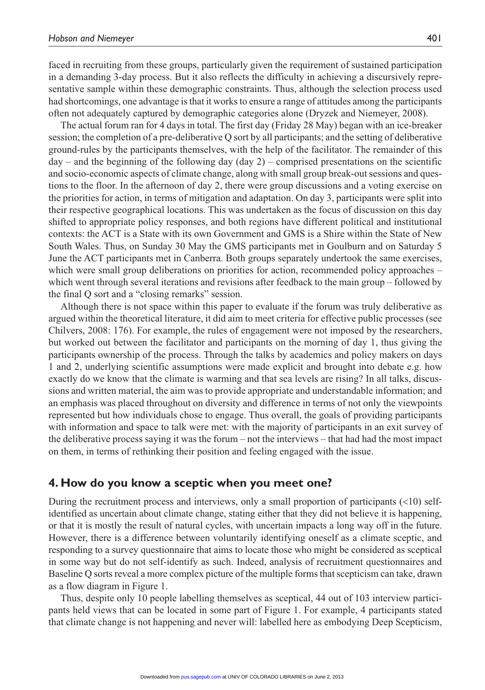faced in recruiting from these groups, particularly given the requirement of sustained participation in a demanding 3-day process. But it also reflects the difficulty in achieving a discursively representative sample within these demographic constraints. Thus, although the selection process used had shortcomings, one advantage is that it works to ensure a range of attitudes among the participants often not adequately captured by demographic categories alone (Dryzek and Niemeyer, 2008).

The actual forum ran for 4 days in total. The first day (Friday 28 May) began with an ice-breaker session; the completion of a pre-deliberative Q sort by all participants; and the setting of deliberative ground-rules by the participants themselves, with the help of the facilitator. The remainder of this  $day -$  and the beginning of the following day  $day 2) -$  comprised presentations on the scientific and socio-economic aspects of climate change, along with small group break-out sessions and questions to the floor. In the afternoon of day 2, there were group discussions and a voting exercise on the priorities for action, in terms of mitigation and adaptation. On day 3, participants were split into their respective geographical locations. This was undertaken as the focus of discussion on this day shifted to appropriate policy responses, and both regions have different political and institutional contexts: the ACT is a State with its own Government and GMS is a Shire within the State of New South Wales. Thus, on Sunday 30 May the GMS participants met in Goulburn and on Saturday 5 June the ACT participants met in Canberra. Both groups separately undertook the same exercises, which were small group deliberations on priorities for action, recommended policy approaches – which went through several iterations and revisions after feedback to the main group – followed by the final Q sort and a "closing remarks" session.

Although there is not space within this paper to evaluate if the forum was truly deliberative as argued within the theoretical literature, it did aim to meet criteria for effective public processes (see Chilvers, 2008: 176). For example, the rules of engagement were not imposed by the researchers, but worked out between the facilitator and participants on the morning of day 1, thus giving the participants ownership of the process. Through the talks by academics and policy makers on days 1 and 2, underlying scientific assumptions were made explicit and brought into debate e.g. how exactly do we know that the climate is warming and that sea levels are rising? In all talks, discussions and written material, the aim was to provide appropriate and understandable information; and an emphasis was placed throughout on diversity and difference in terms of not only the viewpoints represented but how individuals chose to engage. Thus overall, the goals of providing participants with information and space to talk were met: with the majority of participants in an exit survey of the deliberative process saying it was the forum – not the interviews – that had had the most impact on them, in terms of rethinking their position and feeling engaged with the issue.

#### **4. How do you know a sceptic when you meet one?**

During the recruitment process and interviews, only a small proportion of participants (<10) selfidentified as uncertain about climate change, stating either that they did not believe it is happening, or that it is mostly the result of natural cycles, with uncertain impacts a long way off in the future. However, there is a difference between voluntarily identifying oneself as a climate sceptic, and responding to a survey questionnaire that aims to locate those who might be considered as sceptical in some way but do not self-identify as such. Indeed, analysis of recruitment questionnaires and Baseline Q sorts reveal a more complex picture of the multiple forms that scepticism can take, drawn as a flow diagram in Figure 1.

Thus, despite only 10 people labelling themselves as sceptical, 44 out of 103 interview participants held views that can be located in some part of Figure 1. For example, 4 participants stated that climate change is not happening and never will: labelled here as embodying Deep Scepticism,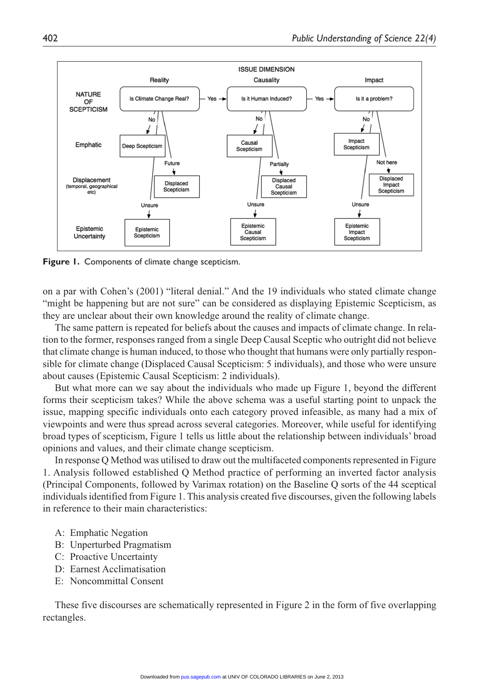

**Figure 1.** Components of climate change scepticism.

on a par with Cohen's (2001) "literal denial." And the 19 individuals who stated climate change "might be happening but are not sure" can be considered as displaying Epistemic Scepticism, as they are unclear about their own knowledge around the reality of climate change.

The same pattern is repeated for beliefs about the causes and impacts of climate change. In relation to the former, responses ranged from a single Deep Causal Sceptic who outright did not believe that climate change is human induced, to those who thought that humans were only partially responsible for climate change (Displaced Causal Scepticism: 5 individuals), and those who were unsure about causes (Epistemic Causal Scepticism: 2 individuals).

But what more can we say about the individuals who made up Figure 1, beyond the different forms their scepticism takes? While the above schema was a useful starting point to unpack the issue, mapping specific individuals onto each category proved infeasible, as many had a mix of viewpoints and were thus spread across several categories. Moreover, while useful for identifying broad types of scepticism, Figure 1 tells us little about the relationship between individuals' broad opinions and values, and their climate change scepticism.

In response Q Method was utilised to draw out the multifaceted components represented in Figure 1. Analysis followed established Q Method practice of performing an inverted factor analysis (Principal Components, followed by Varimax rotation) on the Baseline Q sorts of the 44 sceptical individuals identified from Figure 1. This analysis created five discourses, given the following labels in reference to their main characteristics:

- A: Emphatic Negation
- B: Unperturbed Pragmatism
- C: Proactive Uncertainty
- D: Earnest Acclimatisation
- E: Noncommittal Consent

These five discourses are schematically represented in Figure 2 in the form of five overlapping rectangles.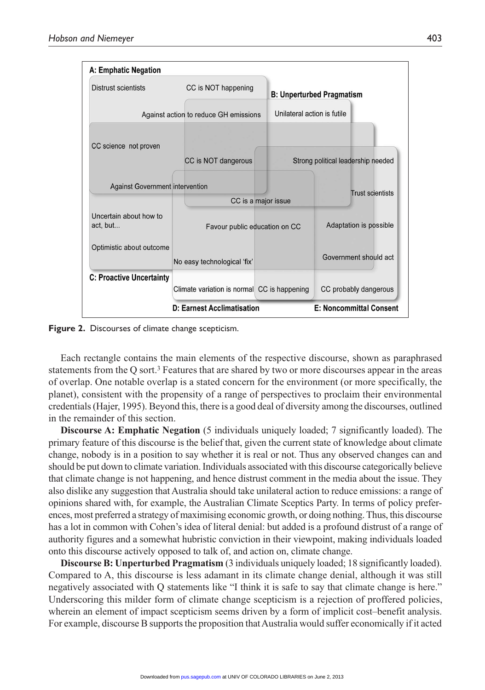

**Figure 2.** Discourses of climate change scepticism.

Each rectangle contains the main elements of the respective discourse, shown as paraphrased statements from the Q sort.3 Features that are shared by two or more discourses appear in the areas of overlap. One notable overlap is a stated concern for the environment (or more specifically, the planet), consistent with the propensity of a range of perspectives to proclaim their environmental credentials (Hajer, 1995). Beyond this, there is a good deal of diversity among the discourses, outlined in the remainder of this section.

**Discourse A: Emphatic Negation** (5 individuals uniquely loaded; 7 significantly loaded). The primary feature of this discourse is the belief that, given the current state of knowledge about climate change, nobody is in a position to say whether it is real or not. Thus any observed changes can and should be put down to climate variation. Individuals associated with this discourse categorically believe that climate change is not happening, and hence distrust comment in the media about the issue. They also dislike any suggestion that Australia should take unilateral action to reduce emissions: a range of opinions shared with, for example, the Australian Climate Sceptics Party. In terms of policy preferences, most preferred a strategy of maximising economic growth, or doing nothing. Thus, this discourse has a lot in common with Cohen's idea of literal denial: but added is a profound distrust of a range of authority figures and a somewhat hubristic conviction in their viewpoint, making individuals loaded onto this discourse actively opposed to talk of, and action on, climate change.

**Discourse B: Unperturbed Pragmatism** (3 individuals uniquely loaded; 18 significantly loaded). Compared to A, this discourse is less adamant in its climate change denial, although it was still negatively associated with Q statements like "I think it is safe to say that climate change is here." Underscoring this milder form of climate change scepticism is a rejection of proffered policies, wherein an element of impact scepticism seems driven by a form of implicit cost–benefit analysis. For example, discourse B supports the proposition that Australia would suffer economically if it acted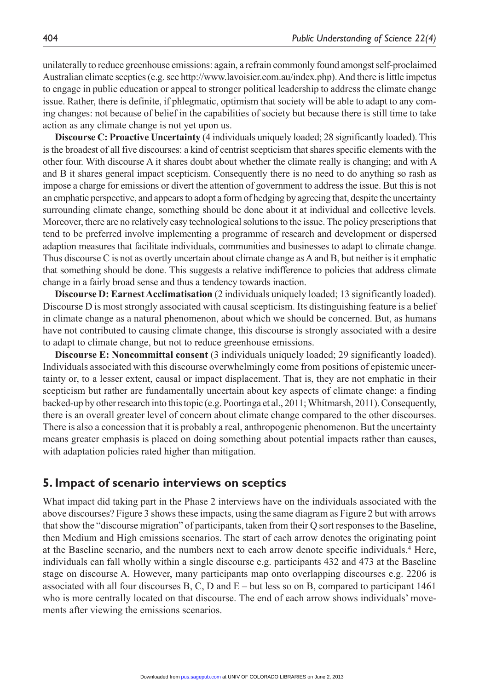unilaterally to reduce greenhouse emissions: again, a refrain commonly found amongst self-proclaimed Australian climate sceptics (e.g. see http://www.lavoisier.com.au/index.php). And there is little impetus to engage in public education or appeal to stronger political leadership to address the climate change issue. Rather, there is definite, if phlegmatic, optimism that society will be able to adapt to any coming changes: not because of belief in the capabilities of society but because there is still time to take action as any climate change is not yet upon us.

**Discourse C: Proactive Uncertainty** (4 individuals uniquely loaded; 28 significantly loaded). This is the broadest of all five discourses: a kind of centrist scepticism that shares specific elements with the other four. With discourse A it shares doubt about whether the climate really is changing; and with A and B it shares general impact scepticism. Consequently there is no need to do anything so rash as impose a charge for emissions or divert the attention of government to address the issue. But this is not an emphatic perspective, and appears to adopt a form of hedging by agreeing that, despite the uncertainty surrounding climate change, something should be done about it at individual and collective levels. Moreover, there are no relatively easy technological solutions to the issue. The policy prescriptions that tend to be preferred involve implementing a programme of research and development or dispersed adaption measures that facilitate individuals, communities and businesses to adapt to climate change. Thus discourse C is not as overtly uncertain about climate change as A and B, but neither is it emphatic that something should be done. This suggests a relative indifference to policies that address climate change in a fairly broad sense and thus a tendency towards inaction.

**Discourse D: Earnest Acclimatisation** (2 individuals uniquely loaded; 13 significantly loaded). Discourse D is most strongly associated with causal scepticism. Its distinguishing feature is a belief in climate change as a natural phenomenon, about which we should be concerned. But, as humans have not contributed to causing climate change, this discourse is strongly associated with a desire to adapt to climate change, but not to reduce greenhouse emissions.

**Discourse E: Noncommittal consent** (3 individuals uniquely loaded; 29 significantly loaded). Individuals associated with this discourse overwhelmingly come from positions of epistemic uncertainty or, to a lesser extent, causal or impact displacement. That is, they are not emphatic in their scepticism but rather are fundamentally uncertain about key aspects of climate change: a finding backed-up by other research into this topic (e.g. Poortinga et al., 2011; Whitmarsh, 2011). Consequently, there is an overall greater level of concern about climate change compared to the other discourses. There is also a concession that it is probably a real, anthropogenic phenomenon. But the uncertainty means greater emphasis is placed on doing something about potential impacts rather than causes, with adaptation policies rated higher than mitigation.

#### **5. Impact of scenario interviews on sceptics**

What impact did taking part in the Phase 2 interviews have on the individuals associated with the above discourses? Figure 3 shows these impacts, using the same diagram as Figure 2 but with arrows that show the "discourse migration" of participants, taken from their Q sort responses to the Baseline, then Medium and High emissions scenarios. The start of each arrow denotes the originating point at the Baseline scenario, and the numbers next to each arrow denote specific individuals.4 Here, individuals can fall wholly within a single discourse e.g. participants 432 and 473 at the Baseline stage on discourse A. However, many participants map onto overlapping discourses e.g. 2206 is associated with all four discourses B, C, D and  $E$  – but less so on B, compared to participant 1461 who is more centrally located on that discourse. The end of each arrow shows individuals' movements after viewing the emissions scenarios.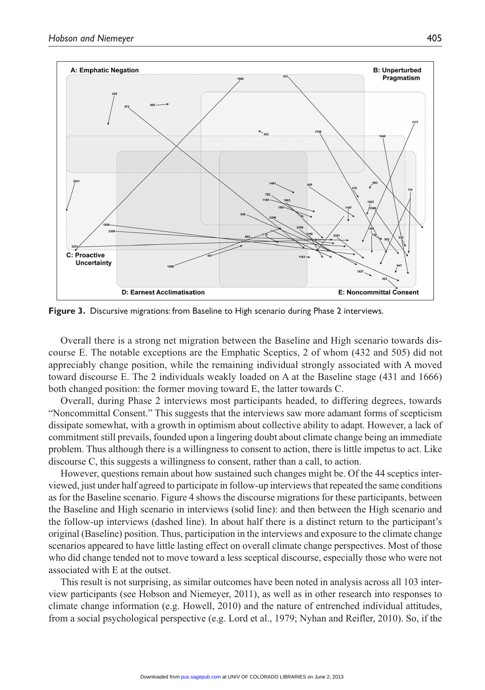

**Figure 3.** Discursive migrations: from Baseline to High scenario during Phase 2 interviews.

Overall there is a strong net migration between the Baseline and High scenario towards discourse E. The notable exceptions are the Emphatic Sceptics, 2 of whom (432 and 505) did not appreciably change position, while the remaining individual strongly associated with A moved toward discourse E. The 2 individuals weakly loaded on A at the Baseline stage (431 and 1666) both changed position: the former moving toward E, the latter towards C.

Overall, during Phase 2 interviews most participants headed, to differing degrees, towards "Noncommittal Consent." This suggests that the interviews saw more adamant forms of scepticism dissipate somewhat, with a growth in optimism about collective ability to adapt. However, a lack of commitment still prevails, founded upon a lingering doubt about climate change being an immediate problem. Thus although there is a willingness to consent to action, there is little impetus to act. Like discourse C, this suggests a willingness to consent, rather than a call, to action.

However, questions remain about how sustained such changes might be. Of the 44 sceptics interviewed, just under half agreed to participate in follow-up interviews that repeated the same conditions as for the Baseline scenario. Figure 4 shows the discourse migrations for these participants, between the Baseline and High scenario in interviews (solid line): and then between the High scenario and the follow-up interviews (dashed line). In about half there is a distinct return to the participant's original (Baseline) position. Thus, participation in the interviews and exposure to the climate change scenarios appeared to have little lasting effect on overall climate change perspectives. Most of those who did change tended not to move toward a less sceptical discourse, especially those who were not associated with E at the outset.

This result is not surprising, as similar outcomes have been noted in analysis across all 103 interview participants (see Hobson and Niemeyer, 2011), as well as in other research into responses to climate change information (e.g. Howell, 2010) and the nature of entrenched individual attitudes, from a social psychological perspective (e.g. Lord et al., 1979; Nyhan and Reifler, 2010). So, if the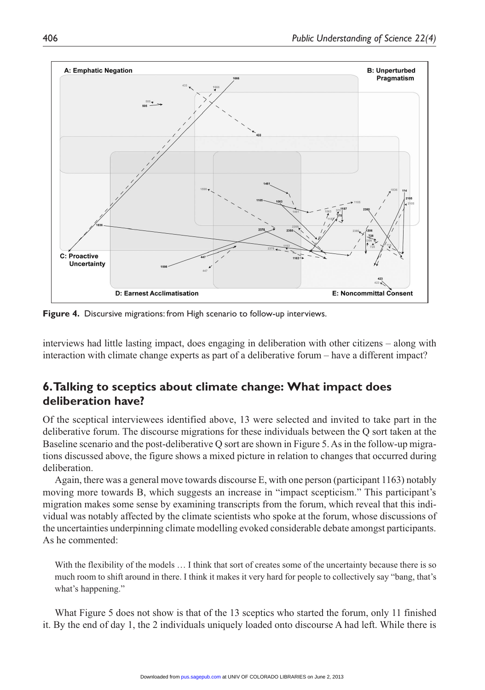

**Figure 4.** Discursive migrations: from High scenario to follow-up interviews.

interviews had little lasting impact, does engaging in deliberation with other citizens – along with interaction with climate change experts as part of a deliberative forum – have a different impact?

# **6. Talking to sceptics about climate change: What impact does deliberation have?**

Of the sceptical interviewees identified above, 13 were selected and invited to take part in the deliberative forum. The discourse migrations for these individuals between the Q sort taken at the Baseline scenario and the post-deliberative Q sort are shown in Figure 5. As in the follow-up migrations discussed above, the figure shows a mixed picture in relation to changes that occurred during deliberation.

Again, there was a general move towards discourse E, with one person (participant 1163) notably moving more towards B, which suggests an increase in "impact scepticism." This participant's migration makes some sense by examining transcripts from the forum, which reveal that this individual was notably affected by the climate scientists who spoke at the forum, whose discussions of the uncertainties underpinning climate modelling evoked considerable debate amongst participants. As he commented:

With the flexibility of the models ... I think that sort of creates some of the uncertainty because there is so much room to shift around in there. I think it makes it very hard for people to collectively say "bang, that's what's happening."

What Figure 5 does not show is that of the 13 sceptics who started the forum, only 11 finished it. By the end of day 1, the 2 individuals uniquely loaded onto discourse A had left. While there is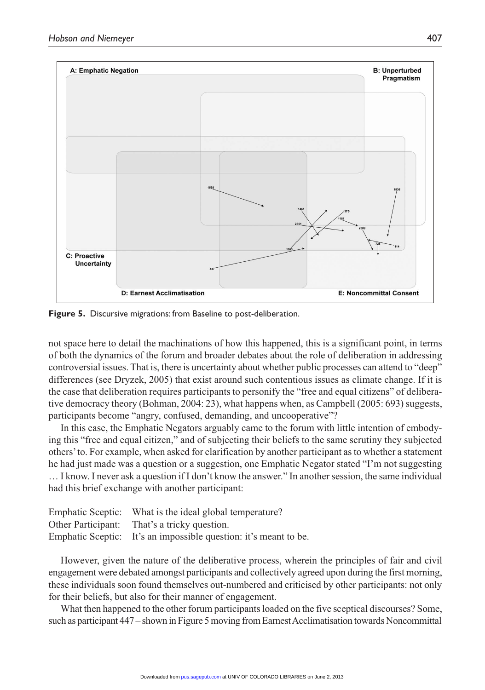

**Figure 5.** Discursive migrations: from Baseline to post-deliberation.

not space here to detail the machinations of how this happened, this is a significant point, in terms of both the dynamics of the forum and broader debates about the role of deliberation in addressing controversial issues. That is, there is uncertainty about whether public processes can attend to "deep" differences (see Dryzek, 2005) that exist around such contentious issues as climate change. If it is the case that deliberation requires participants to personify the "free and equal citizens" of deliberative democracy theory (Bohman, 2004: 23), what happens when, as Campbell (2005: 693) suggests, participants become "angry, confused, demanding, and uncooperative"?

In this case, the Emphatic Negators arguably came to the forum with little intention of embodying this "free and equal citizen," and of subjecting their beliefs to the same scrutiny they subjected others' to. For example, when asked for clarification by another participant as to whether a statement he had just made was a question or a suggestion, one Emphatic Negator stated "I'm not suggesting … I know. I never ask a question if I don't know the answer." In another session, the same individual had this brief exchange with another participant:

| Emphatic Sceptic: What is the ideal global temperature?          |
|------------------------------------------------------------------|
| Other Participant: That's a tricky question.                     |
| Emphatic Sceptic: It's an impossible question: it's meant to be. |

However, given the nature of the deliberative process, wherein the principles of fair and civil engagement were debated amongst participants and collectively agreed upon during the first morning, these individuals soon found themselves out-numbered and criticised by other participants: not only for their beliefs, but also for their manner of engagement.

What then happened to the other forum participants loaded on the five sceptical discourses? Some, such as participant 447 – shown in Figure 5 moving from Earnest Acclimatisation towards Noncommittal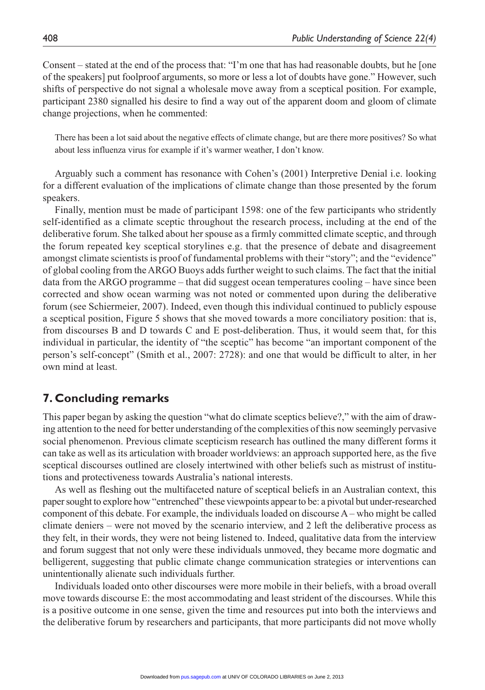Consent – stated at the end of the process that: "I'm one that has had reasonable doubts, but he [one of the speakers] put foolproof arguments, so more or less a lot of doubts have gone." However, such shifts of perspective do not signal a wholesale move away from a sceptical position. For example, participant 2380 signalled his desire to find a way out of the apparent doom and gloom of climate change projections, when he commented:

There has been a lot said about the negative effects of climate change, but are there more positives? So what about less influenza virus for example if it's warmer weather, I don't know.

Arguably such a comment has resonance with Cohen's (2001) Interpretive Denial i.e. looking for a different evaluation of the implications of climate change than those presented by the forum speakers.

Finally, mention must be made of participant 1598: one of the few participants who stridently self-identified as a climate sceptic throughout the research process, including at the end of the deliberative forum. She talked about her spouse as a firmly committed climate sceptic, and through the forum repeated key sceptical storylines e.g. that the presence of debate and disagreement amongst climate scientists is proof of fundamental problems with their "story"; and the "evidence" of global cooling from the ARGO Buoys adds further weight to such claims. The fact that the initial data from the ARGO programme – that did suggest ocean temperatures cooling – have since been corrected and show ocean warming was not noted or commented upon during the deliberative forum (see Schiermeier, 2007). Indeed, even though this individual continued to publicly espouse a sceptical position, Figure 5 shows that she moved towards a more conciliatory position: that is, from discourses B and D towards C and E post-deliberation. Thus, it would seem that, for this individual in particular, the identity of "the sceptic" has become "an important component of the person's self-concept" (Smith et al., 2007: 2728): and one that would be difficult to alter, in her own mind at least.

## **7. Concluding remarks**

This paper began by asking the question "what do climate sceptics believe?," with the aim of drawing attention to the need for better understanding of the complexities of this now seemingly pervasive social phenomenon. Previous climate scepticism research has outlined the many different forms it can take as well as its articulation with broader worldviews: an approach supported here, as the five sceptical discourses outlined are closely intertwined with other beliefs such as mistrust of institutions and protectiveness towards Australia's national interests.

As well as fleshing out the multifaceted nature of sceptical beliefs in an Australian context, this paper sought to explore how "entrenched" these viewpoints appear to be: a pivotal but under-researched component of this debate. For example, the individuals loaded on discourse A – who might be called climate deniers – were not moved by the scenario interview, and 2 left the deliberative process as they felt, in their words, they were not being listened to. Indeed, qualitative data from the interview and forum suggest that not only were these individuals unmoved, they became more dogmatic and belligerent, suggesting that public climate change communication strategies or interventions can unintentionally alienate such individuals further.

Individuals loaded onto other discourses were more mobile in their beliefs, with a broad overall move towards discourse E: the most accommodating and least strident of the discourses. While this is a positive outcome in one sense, given the time and resources put into both the interviews and the deliberative forum by researchers and participants, that more participants did not move wholly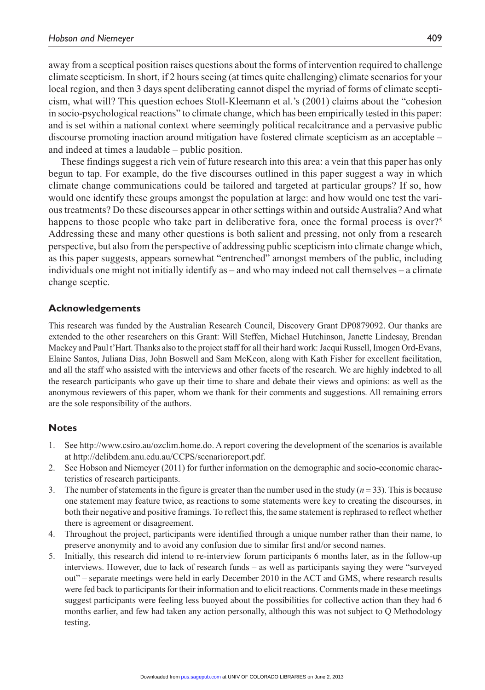away from a sceptical position raises questions about the forms of intervention required to challenge climate scepticism. In short, if 2 hours seeing (at times quite challenging) climate scenarios for your local region, and then 3 days spent deliberating cannot dispel the myriad of forms of climate scepticism, what will? This question echoes Stoll-Kleemann et al.'s (2001) claims about the "cohesion in socio-psychological reactions" to climate change, which has been empirically tested in this paper: and is set within a national context where seemingly political recalcitrance and a pervasive public discourse promoting inaction around mitigation have fostered climate scepticism as an acceptable – and indeed at times a laudable – public position.

These findings suggest a rich vein of future research into this area: a vein that this paper has only begun to tap. For example, do the five discourses outlined in this paper suggest a way in which climate change communications could be tailored and targeted at particular groups? If so, how would one identify these groups amongst the population at large: and how would one test the various treatments? Do these discourses appear in other settings within and outside Australia? And what happens to those people who take part in deliberative fora, once the formal process is over?<sup>5</sup> Addressing these and many other questions is both salient and pressing, not only from a research perspective, but also from the perspective of addressing public scepticism into climate change which, as this paper suggests, appears somewhat "entrenched" amongst members of the public, including individuals one might not initially identify as – and who may indeed not call themselves – a climate change sceptic.

#### **Acknowledgements**

This research was funded by the Australian Research Council, Discovery Grant DP0879092. Our thanks are extended to the other researchers on this Grant: Will Steffen, Michael Hutchinson, Janette Lindesay, Brendan Mackey and Paul t'Hart. Thanks also to the project staff for all their hard work: Jacqui Russell, Imogen Ord-Evans, Elaine Santos, Juliana Dias, John Boswell and Sam McKeon, along with Kath Fisher for excellent facilitation, and all the staff who assisted with the interviews and other facets of the research. We are highly indebted to all the research participants who gave up their time to share and debate their views and opinions: as well as the anonymous reviewers of this paper, whom we thank for their comments and suggestions. All remaining errors are the sole responsibility of the authors.

#### **Notes**

- 1. See http://www.csiro.au/ozclim.home.do. A report covering the development of the scenarios is available at http://delibdem.anu.edu.au/CCPS/scenarioreport.pdf.
- 2. See Hobson and Niemeyer (2011) for further information on the demographic and socio-economic characteristics of research participants.
- 3. The number of statements in the figure is greater than the number used in the study  $(n=33)$ . This is because one statement may feature twice, as reactions to some statements were key to creating the discourses, in both their negative and positive framings. To reflect this, the same statement is rephrased to reflect whether there is agreement or disagreement.
- 4. Throughout the project, participants were identified through a unique number rather than their name, to preserve anonymity and to avoid any confusion due to similar first and/or second names.
- 5. Initially, this research did intend to re-interview forum participants 6 months later, as in the follow-up interviews. However, due to lack of research funds – as well as participants saying they were "surveyed out" – separate meetings were held in early December 2010 in the ACT and GMS, where research results were fed back to participants for their information and to elicit reactions. Comments made in these meetings suggest participants were feeling less buoyed about the possibilities for collective action than they had 6 months earlier, and few had taken any action personally, although this was not subject to Q Methodology testing.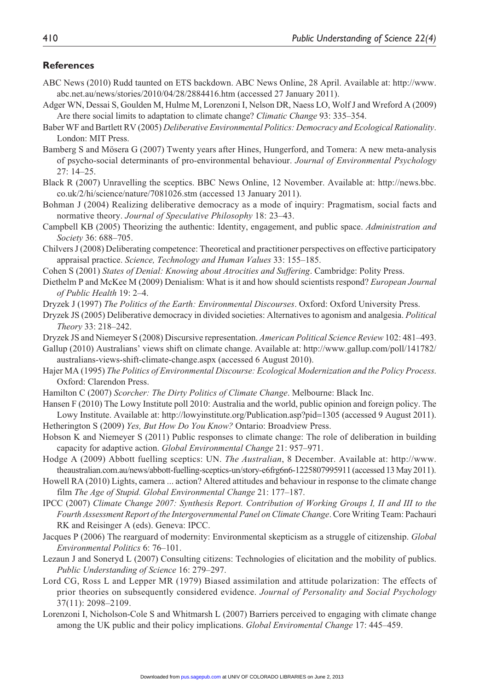#### **References**

- ABC News (2010) Rudd taunted on ETS backdown. ABC News Online, 28 April. Available at: http://www. abc.net.au/news/stories/2010/04/28/2884416.htm (accessed 27 January 2011).
- Adger WN, Dessai S, Goulden M, Hulme M, Lorenzoni I, Nelson DR, Naess LO, Wolf J and Wreford A (2009) Are there social limits to adaptation to climate change? *Climatic Change* 93: 335–354.
- Baber WF and Bartlett RV (2005) *Deliberative Environmental Politics: Democracy and Ecological Rationality*. London: MIT Press.
- Bamberg S and Mösera G (2007) Twenty years after Hines, Hungerford, and Tomera: A new meta-analysis of psycho-social determinants of pro-environmental behaviour. *Journal of Environmental Psychology* 27: 14–25.
- Black R (2007) Unravelling the sceptics. BBC News Online, 12 November. Available at: http://news.bbc. co.uk/2/hi/science/nature/7081026.stm (accessed 13 January 2011).
- Bohman J (2004) Realizing deliberative democracy as a mode of inquiry: Pragmatism, social facts and normative theory. *Journal of Speculative Philosophy* 18: 23–43.
- Campbell KB (2005) Theorizing the authentic: Identity, engagement, and public space. *Administration and Society* 36: 688–705.
- Chilvers J (2008) Deliberating competence: Theoretical and practitioner perspectives on effective participatory appraisal practice. *Science, Technology and Human Values* 33: 155–185.
- Cohen S (2001) *States of Denial: Knowing about Atrocities and Suffering*. Cambridge: Polity Press.
- Diethelm P and McKee M (2009) Denialism: What is it and how should scientists respond? *European Journal of Public Health* 19: 2–4.
- Dryzek J (1997) *The Politics of the Earth: Environmental Discourses*. Oxford: Oxford University Press.
- Dryzek JS (2005) Deliberative democracy in divided societies: Alternatives to agonism and analgesia. *Political Theory* 33: 218–242.
- Dryzek JS and Niemeyer S (2008) Discursive representation. *American Political Science Review* 102: 481–493.
- Gallup (2010) Australians' views shift on climate change. Available at: http://www.gallup.com/poll/141782/ australians-views-shift-climate-change.aspx (accessed 6 August 2010).
- Hajer MA (1995) *The Politics of Environmental Discourse: Ecological Modernization and the Policy Process*. Oxford: Clarendon Press.
- Hamilton C (2007) *Scorcher: The Dirty Politics of Climate Change*. Melbourne: Black Inc.
- Hansen F (2010) The Lowy Institute poll 2010: Australia and the world, public opinion and foreign policy. The Lowy Institute. Available at: http://lowyinstitute.org/Publication.asp?pid=1305 (accessed 9 August 2011). Hetherington S (2009) *Yes, But How Do You Know?* Ontario: Broadview Press.
- Hobson K and Niemeyer S (2011) Public responses to climate change: The role of deliberation in building capacity for adaptive action. *Global Environmental Change* 21: 957–971.
- Hodge A (2009) Abbott fuelling sceptics: UN. *The Australian*, 8 December. Available at: http://www. theaustralian.com.au/news/abbott-fuelling-sceptics-un/story-e6frg6n6-1225807995911 (accessed 13 May 2011).
- Howell RA (2010) Lights, camera ... action? Altered attitudes and behaviour in response to the climate change film *The Age of Stupid. Global Environmental Change* 21: 177–187.
- IPCC (2007) *Climate Change 2007: Synthesis Report. Contribution of Working Groups I, II and III to the Fourth Assessment Report of the Intergovernmental Panel on Climate Change*. Core Writing Team: Pachauri RK and Reisinger A (eds). Geneva: IPCC.
- Jacques P (2006) The rearguard of modernity: Environmental skepticism as a struggle of citizenship. *Global Environmental Politics* 6: 76–101.
- Lezaun J and Soneryd L (2007) Consulting citizens: Technologies of elicitation and the mobility of publics. *Public Understanding of Science* 16: 279–297.
- Lord CG, Ross L and Lepper MR (1979) Biased assimilation and attitude polarization: The effects of prior theories on subsequently considered evidence. *Journal of Personality and Social Psychology* 37(11): 2098–2109.
- Lorenzoni I, Nicholson-Cole S and Whitmarsh L (2007) Barriers perceived to engaging with climate change among the UK public and their policy implications. *Global Enviromental Change* 17: 445–459.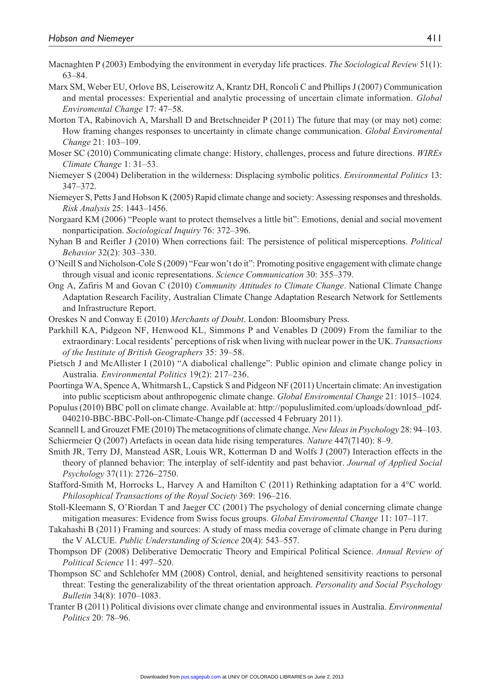- Macnaghten P (2003) Embodying the environment in everyday life practices. *The Sociological Review* 51(1): 63–84.
- Marx SM, Weber EU, Orlove BS, Leiserowitz A, Krantz DH, Roncoli C and Phillips J (2007) Communication and mental processes: Experiential and analytic processing of uncertain climate information. *Global Enviromental Change* 17: 47–58.
- Morton TA, Rabinovich A, Marshall D and Bretschneider P (2011) The future that may (or may not) come: How framing changes responses to uncertainty in climate change communication. *Global Enviromental Change* 21: 103–109.
- Moser SC (2010) Communicating climate change: History, challenges, process and future directions. *WIREs Climate Change* 1: 31–53.
- Niemeyer S (2004) Deliberation in the wilderness: Displacing symbolic politics. *Environmental Politics* 13: 347–372.
- Niemeyer S, Petts J and Hobson K (2005) Rapid climate change and society: Assessing responses and thresholds. *Risk Analysis* 25: 1443–1456.
- Norgaard KM (2006) "People want to protect themselves a little bit": Emotions, denial and social movement nonparticipation. *Sociological Inquiry* 76: 372–396.
- Nyhan B and Reifler J (2010) When corrections fail: The persistence of political misperceptions. *Political Behavior* 32(2): 303–330.
- O'Neill S and Nicholson-Cole S (2009) "Fear won't do it": Promoting positive engagement with climate change through visual and iconic representations. *Science Communication* 30: 355–379.
- Ong A, Zafiris M and Govan C (2010) *Community Attitudes to Climate Change*. National Climate Change Adaptation Research Facility, Australian Climate Change Adaptation Research Network for Settlements and Infrastructure Report.
- Oreskes N and Conway E (2010) *Merchants of Doubt*. London: Bloomsbury Press.
- Parkhill KA, Pidgeon NF, Henwood KL, Simmons P and Venables D (2009) From the familiar to the extraordinary: Local residents' perceptions of risk when living with nuclear power in the UK. *Transactions of the Institute of British Geographers* 35: 39–58.
- Pietsch J and McAllister I (2010) "A diabolical challenge": Public opinion and climate change policy in Australia. *Environmental Politics* 19(2): 217–236.
- Poortinga WA, Spence A, Whitmarsh L, Capstick S and Pidgeon NF (2011) Uncertain climate: An investigation into public scepticism about anthropogenic climate change. *Global Enviromental Change* 21: 1015–1024.
- Populus (2010) BBC poll on climate change. Available at: http://populuslimited.com/uploads/download\_pdf-040210-BBC-BBC-Poll-on-Climate-Change.pdf (accessed 4 February 2011).
- Scannell L and Grouzet FME (2010) The metacognitions of climate change. *New Ideas in Psychology* 28: 94–103. Schiermeier Q (2007) Artefacts in ocean data hide rising temperatures. *Nature* 447(7140): 8–9.
- Smith JR, Terry DJ, Manstead ASR, Louis WR, Kotterman D and Wolfs J (2007) Interaction effects in the theory of planned behavior: The interplay of self-identity and past behavior. *Journal of Applied Social Psychology* 37(11): 2726–2750.
- Stafford-Smith M, Horrocks L, Harvey A and Hamilton C (2011) Rethinking adaptation for a 4°C world. *Philosophical Transactions of the Royal Society* 369: 196–216.
- Stoll-Kleemann S, O'Riordan T and Jaeger CC (2001) The psychology of denial concerning climate change mitigation measures: Evidence from Swiss focus groups. *Global Enviromental Change* 11: 107–117.
- Takahashi B (2011) Framing and sources: A study of mass media coverage of climate change in Peru during the V ALCUE. *Public Understanding of Science* 20(4): 543–557.
- Thompson DF (2008) Deliberative Democratic Theory and Empirical Political Science. *Annual Review of Political Science* 11: 497–520.
- Thompson SC and Schlehofer MM (2008) Control, denial, and heightened sensitivity reactions to personal threat: Testing the generalizability of the threat orientation approach. *Personality and Social Psychology Bulletin* 34(8): 1070–1083.
- Tranter B (2011) Political divisions over climate change and environmental issues in Australia. *Environmental Politics* 20: 78–96.